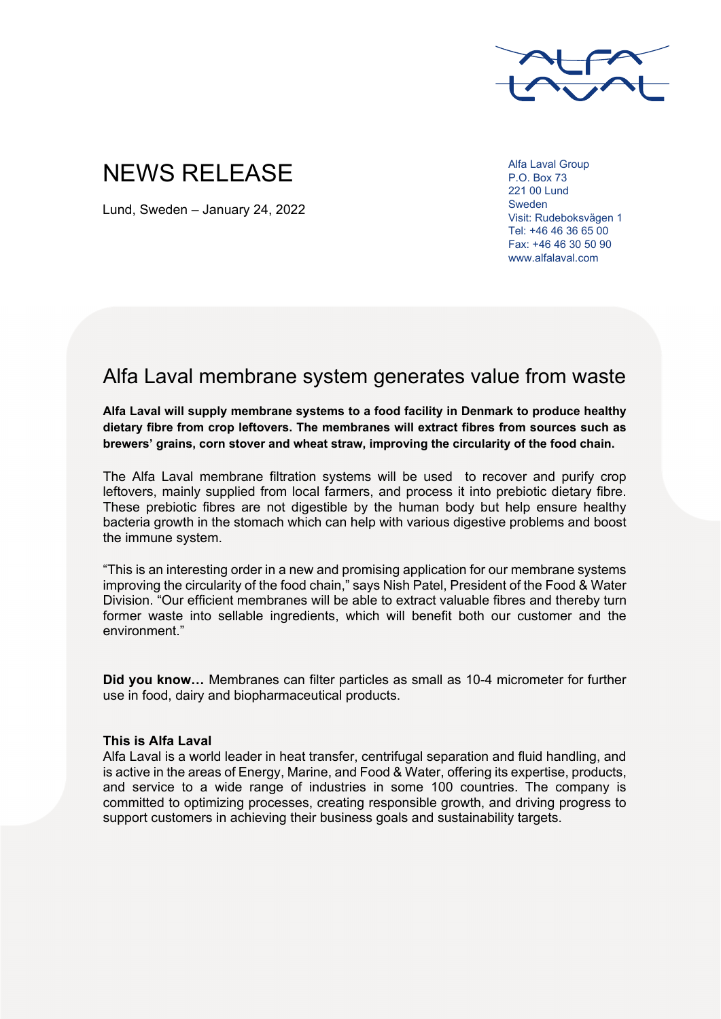

## NEWS RELEASE

Lund, Sweden – January 24, 2022

Alfa Laval Group P.O. Box 73 221 00 Lund Sweden Visit: Rudeboksvägen 1 Tel: +46 46 36 65 00 Fax: +46 46 30 50 90 www.alfalaval.com

## Alfa Laval membrane system generates value from waste

**Alfa Laval will supply membrane systems to a food facility in Denmark to produce healthy dietary fibre from crop leftovers. The membranes will extract fibres from sources such as brewers' grains, corn stover and wheat straw, improving the circularity of the food chain.** 

The Alfa Laval membrane filtration systems will be used to recover and purify crop leftovers, mainly supplied from local farmers, and process it into prebiotic dietary fibre. These prebiotic fibres are not digestible by the human body but help ensure healthy bacteria growth in the stomach which can help with various digestive problems and boost the immune system.

"This is an interesting order in a new and promising application for our membrane systems improving the circularity of the food chain," says Nish Patel, President of the Food & Water Division. "Our efficient membranes will be able to extract valuable fibres and thereby turn former waste into sellable ingredients, which will benefit both our customer and the environment."

**Did you know…** Membranes can filter particles as small as 10-4 micrometer for further use in food, dairy and biopharmaceutical products.

## **This is Alfa Laval**

Alfa Laval is a world leader in heat transfer, centrifugal separation and fluid handling, and is active in the areas of Energy, Marine, and Food & Water, offering its expertise, products, and service to a wide range of industries in some 100 countries. The company is committed to optimizing processes, creating responsible growth, and driving progress to support customers in achieving their business goals and sustainability targets.